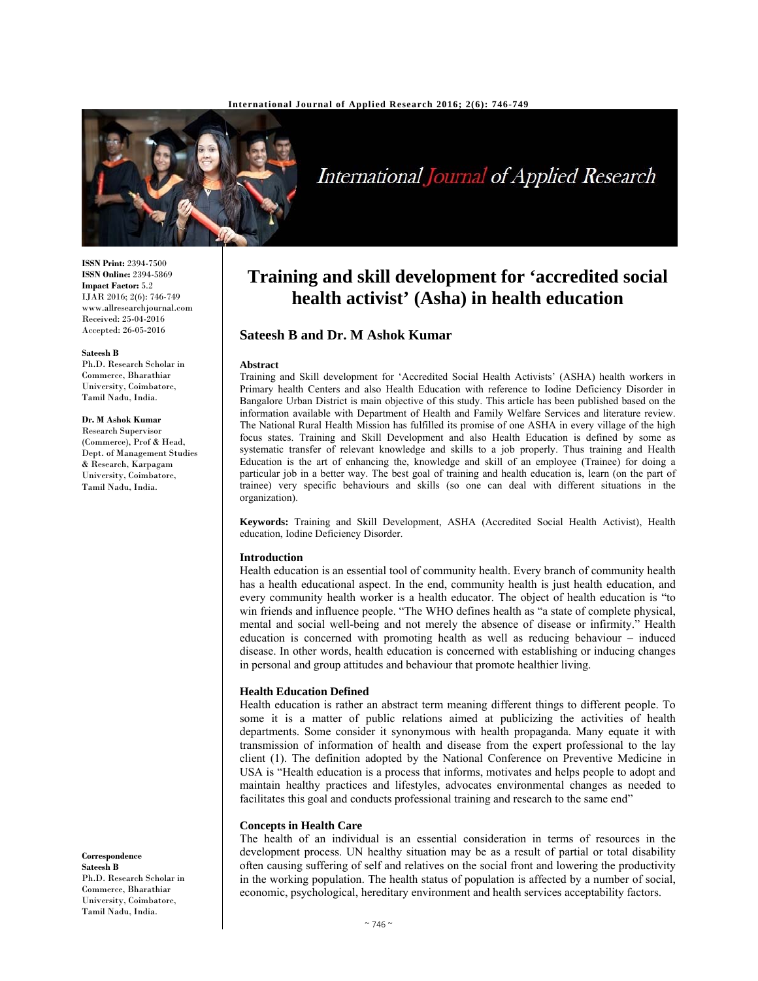

International Journal of Applied Research

**ISSN Print:** 2394-7500 **ISSN Online:** 2394-5869 **Impact Factor:** 5.2 IJAR 2016; 2(6): 746-749 www.allresearchjournal.com Received: 25-04-2016 Accepted: 26-05-2016

#### **Sateesh B**

Ph.D. Research Scholar in Commerce, Bharathiar University, Coimbatore, Tamil Nadu, India.

#### **Dr. M Ashok Kumar**

Research Supervisor (Commerce), Prof & Head, Dept. of Management Studies & Research, Karpagam University, Coimbatore, Tamil Nadu, India.

**Correspondence Sateesh B** 

Ph.D. Research Scholar in Commerce, Bharathiar University, Coimbatore, Tamil Nadu, India.

# **Training and skill development for 'accredited social health activist' (Asha) in health education**

# **Sateesh B and Dr. M Ashok Kumar**

#### **Abstract**

Training and Skill development for 'Accredited Social Health Activists' (ASHA) health workers in Primary health Centers and also Health Education with reference to Iodine Deficiency Disorder in Bangalore Urban District is main objective of this study. This article has been published based on the information available with Department of Health and Family Welfare Services and literature review. The National Rural Health Mission has fulfilled its promise of one ASHA in every village of the high focus states. Training and Skill Development and also Health Education is defined by some as systematic transfer of relevant knowledge and skills to a job properly. Thus training and Health Education is the art of enhancing the, knowledge and skill of an employee (Trainee) for doing a particular job in a better way. The best goal of training and health education is, learn (on the part of trainee) very specific behaviours and skills (so one can deal with different situations in the organization).

**Keywords:** Training and Skill Development, ASHA (Accredited Social Health Activist), Health education, Iodine Deficiency Disorder.

## **Introduction**

Health education is an essential tool of community health. Every branch of community health has a health educational aspect. In the end, community health is just health education, and every community health worker is a health educator. The object of health education is "to win friends and influence people. "The WHO defines health as "a state of complete physical, mental and social well-being and not merely the absence of disease or infirmity." Health education is concerned with promoting health as well as reducing behaviour – induced disease. In other words, health education is concerned with establishing or inducing changes in personal and group attitudes and behaviour that promote healthier living.

#### **Health Education Defined**

Health education is rather an abstract term meaning different things to different people. To some it is a matter of public relations aimed at publicizing the activities of health departments. Some consider it synonymous with health propaganda. Many equate it with transmission of information of health and disease from the expert professional to the lay client (1). The definition adopted by the National Conference on Preventive Medicine in USA is "Health education is a process that informs, motivates and helps people to adopt and maintain healthy practices and lifestyles, advocates environmental changes as needed to facilitates this goal and conducts professional training and research to the same end"

#### **Concepts in Health Care**

The health of an individual is an essential consideration in terms of resources in the development process. UN healthy situation may be as a result of partial or total disability often causing suffering of self and relatives on the social front and lowering the productivity in the working population. The health status of population is affected by a number of social, economic, psychological, hereditary environment and health services acceptability factors.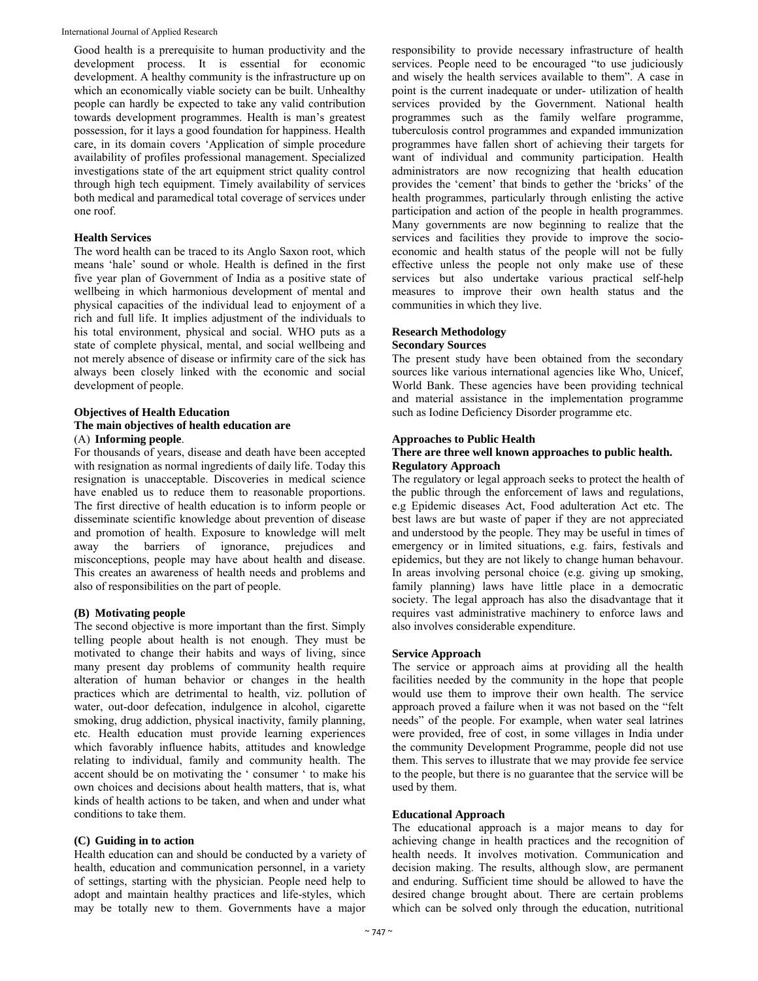International Journal of Applied Research

Good health is a prerequisite to human productivity and the development process. It is essential for economic development. A healthy community is the infrastructure up on which an economically viable society can be built. Unhealthy people can hardly be expected to take any valid contribution towards development programmes. Health is man's greatest possession, for it lays a good foundation for happiness. Health care, in its domain covers 'Application of simple procedure availability of profiles professional management. Specialized investigations state of the art equipment strict quality control through high tech equipment. Timely availability of services both medical and paramedical total coverage of services under one roof.

## **Health Services**

The word health can be traced to its Anglo Saxon root, which means 'hale' sound or whole. Health is defined in the first five year plan of Government of India as a positive state of wellbeing in which harmonious development of mental and physical capacities of the individual lead to enjoyment of a rich and full life. It implies adjustment of the individuals to his total environment, physical and social. WHO puts as a state of complete physical, mental, and social wellbeing and not merely absence of disease or infirmity care of the sick has always been closely linked with the economic and social development of people.

## **Objectives of Health Education The main objectives of health education are**  (A) **Informing people**.

For thousands of years, disease and death have been accepted with resignation as normal ingredients of daily life. Today this resignation is unacceptable. Discoveries in medical science have enabled us to reduce them to reasonable proportions. The first directive of health education is to inform people or disseminate scientific knowledge about prevention of disease and promotion of health. Exposure to knowledge will melt away the barriers of ignorance, prejudices and misconceptions, people may have about health and disease. This creates an awareness of health needs and problems and also of responsibilities on the part of people.

# **(B) Motivating people**

The second objective is more important than the first. Simply telling people about health is not enough. They must be motivated to change their habits and ways of living, since many present day problems of community health require alteration of human behavior or changes in the health practices which are detrimental to health, viz. pollution of water, out-door defecation, indulgence in alcohol, cigarette smoking, drug addiction, physical inactivity, family planning, etc. Health education must provide learning experiences which favorably influence habits, attitudes and knowledge relating to individual, family and community health. The accent should be on motivating the ' consumer ' to make his own choices and decisions about health matters, that is, what kinds of health actions to be taken, and when and under what conditions to take them.

# **(C) Guiding in to action**

Health education can and should be conducted by a variety of health, education and communication personnel, in a variety of settings, starting with the physician. People need help to adopt and maintain healthy practices and life-styles, which may be totally new to them. Governments have a major

responsibility to provide necessary infrastructure of health services. People need to be encouraged "to use judiciously and wisely the health services available to them". A case in point is the current inadequate or under- utilization of health services provided by the Government. National health programmes such as the family welfare programme, tuberculosis control programmes and expanded immunization programmes have fallen short of achieving their targets for want of individual and community participation. Health administrators are now recognizing that health education provides the 'cement' that binds to gether the 'bricks' of the health programmes, particularly through enlisting the active participation and action of the people in health programmes. Many governments are now beginning to realize that the services and facilities they provide to improve the socioeconomic and health status of the people will not be fully effective unless the people not only make use of these services but also undertake various practical self-help measures to improve their own health status and the communities in which they live.

# **Research Methodology**

## **Secondary Sources**

The present study have been obtained from the secondary sources like various international agencies like Who, Unicef, World Bank. These agencies have been providing technical and material assistance in the implementation programme such as Iodine Deficiency Disorder programme etc.

# **Approaches to Public Health**

# **There are three well known approaches to public health. Regulatory Approach**

The regulatory or legal approach seeks to protect the health of the public through the enforcement of laws and regulations, e.g Epidemic diseases Act, Food adulteration Act etc. The best laws are but waste of paper if they are not appreciated and understood by the people. They may be useful in times of emergency or in limited situations, e.g. fairs, festivals and epidemics, but they are not likely to change human behavour. In areas involving personal choice (e.g. giving up smoking, family planning) laws have little place in a democratic society. The legal approach has also the disadvantage that it requires vast administrative machinery to enforce laws and also involves considerable expenditure.

## **Service Approach**

The service or approach aims at providing all the health facilities needed by the community in the hope that people would use them to improve their own health. The service approach proved a failure when it was not based on the "felt needs" of the people. For example, when water seal latrines were provided, free of cost, in some villages in India under the community Development Programme, people did not use them. This serves to illustrate that we may provide fee service to the people, but there is no guarantee that the service will be used by them.

## **Educational Approach**

The educational approach is a major means to day for achieving change in health practices and the recognition of health needs. It involves motivation. Communication and decision making. The results, although slow, are permanent and enduring. Sufficient time should be allowed to have the desired change brought about. There are certain problems which can be solved only through the education, nutritional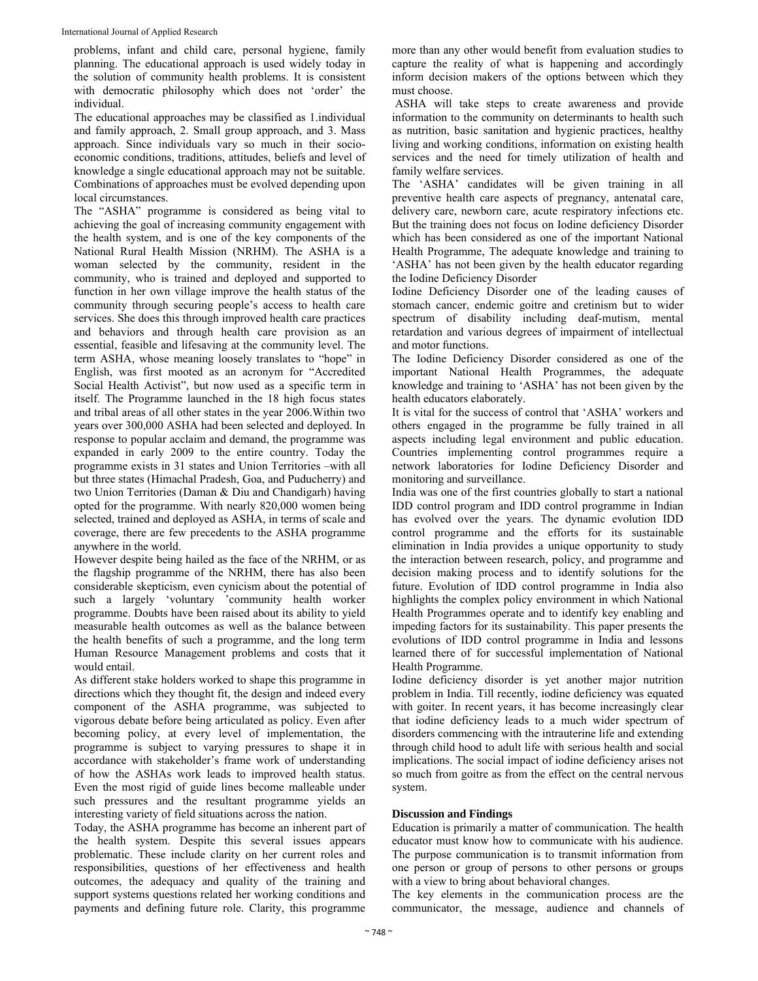problems, infant and child care, personal hygiene, family planning. The educational approach is used widely today in the solution of community health problems. It is consistent with democratic philosophy which does not 'order' the individual.

The educational approaches may be classified as 1.individual and family approach, 2. Small group approach, and 3. Mass approach. Since individuals vary so much in their socioeconomic conditions, traditions, attitudes, beliefs and level of knowledge a single educational approach may not be suitable. Combinations of approaches must be evolved depending upon local circumstances.

The "ASHA" programme is considered as being vital to achieving the goal of increasing community engagement with the health system, and is one of the key components of the National Rural Health Mission (NRHM). The ASHA is a woman selected by the community, resident in the community, who is trained and deployed and supported to function in her own village improve the health status of the community through securing people's access to health care services. She does this through improved health care practices and behaviors and through health care provision as an essential, feasible and lifesaving at the community level. The term ASHA, whose meaning loosely translates to "hope" in English, was first mooted as an acronym for "Accredited Social Health Activist", but now used as a specific term in itself. The Programme launched in the 18 high focus states and tribal areas of all other states in the year 2006.Within two years over 300,000 ASHA had been selected and deployed. In response to popular acclaim and demand, the programme was expanded in early 2009 to the entire country. Today the programme exists in 31 states and Union Territories –with all but three states (Himachal Pradesh, Goa, and Puducherry) and two Union Territories (Daman & Diu and Chandigarh) having opted for the programme. With nearly 820,000 women being selected, trained and deployed as ASHA, in terms of scale and coverage, there are few precedents to the ASHA programme anywhere in the world.

However despite being hailed as the face of the NRHM, or as the flagship programme of the NRHM, there has also been considerable skepticism, even cynicism about the potential of such a largely 'voluntary 'community health worker programme. Doubts have been raised about its ability to yield measurable health outcomes as well as the balance between the health benefits of such a programme, and the long term Human Resource Management problems and costs that it would entail.

As different stake holders worked to shape this programme in directions which they thought fit, the design and indeed every component of the ASHA programme, was subjected to vigorous debate before being articulated as policy. Even after becoming policy, at every level of implementation, the programme is subject to varying pressures to shape it in accordance with stakeholder's frame work of understanding of how the ASHAs work leads to improved health status. Even the most rigid of guide lines become malleable under such pressures and the resultant programme yields an interesting variety of field situations across the nation.

Today, the ASHA programme has become an inherent part of the health system. Despite this several issues appears problematic. These include clarity on her current roles and responsibilities, questions of her effectiveness and health outcomes, the adequacy and quality of the training and support systems questions related her working conditions and payments and defining future role. Clarity, this programme

more than any other would benefit from evaluation studies to capture the reality of what is happening and accordingly inform decision makers of the options between which they must choose.

 ASHA will take steps to create awareness and provide information to the community on determinants to health such as nutrition, basic sanitation and hygienic practices, healthy living and working conditions, information on existing health services and the need for timely utilization of health and family welfare services.

The 'ASHA' candidates will be given training in all preventive health care aspects of pregnancy, antenatal care, delivery care, newborn care, acute respiratory infections etc. But the training does not focus on Iodine deficiency Disorder which has been considered as one of the important National Health Programme, The adequate knowledge and training to 'ASHA' has not been given by the health educator regarding the Iodine Deficiency Disorder

Iodine Deficiency Disorder one of the leading causes of stomach cancer, endemic goitre and cretinism but to wider spectrum of disability including deaf-mutism, mental retardation and various degrees of impairment of intellectual and motor functions.

The Iodine Deficiency Disorder considered as one of the important National Health Programmes, the adequate knowledge and training to 'ASHA' has not been given by the health educators elaborately.

It is vital for the success of control that 'ASHA' workers and others engaged in the programme be fully trained in all aspects including legal environment and public education. Countries implementing control programmes require a network laboratories for Iodine Deficiency Disorder and monitoring and surveillance.

India was one of the first countries globally to start a national IDD control program and IDD control programme in Indian has evolved over the years. The dynamic evolution IDD control programme and the efforts for its sustainable elimination in India provides a unique opportunity to study the interaction between research, policy, and programme and decision making process and to identify solutions for the future. Evolution of IDD control programme in India also highlights the complex policy environment in which National Health Programmes operate and to identify key enabling and impeding factors for its sustainability. This paper presents the evolutions of IDD control programme in India and lessons learned there of for successful implementation of National Health Programme.

Iodine deficiency disorder is yet another major nutrition problem in India. Till recently, iodine deficiency was equated with goiter. In recent years, it has become increasingly clear that iodine deficiency leads to a much wider spectrum of disorders commencing with the intrauterine life and extending through child hood to adult life with serious health and social implications. The social impact of iodine deficiency arises not so much from goitre as from the effect on the central nervous system.

# **Discussion and Findings**

Education is primarily a matter of communication. The health educator must know how to communicate with his audience. The purpose communication is to transmit information from one person or group of persons to other persons or groups with a view to bring about behavioral changes.

The key elements in the communication process are the communicator, the message, audience and channels of